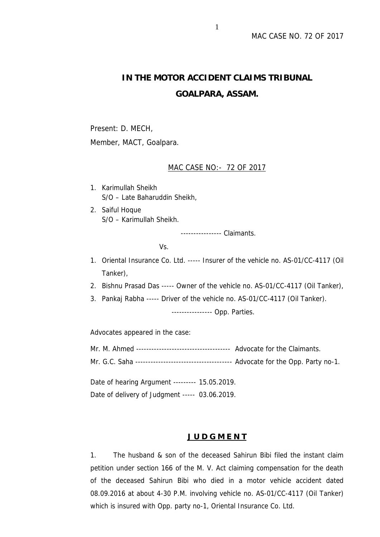# **IN THE MOTOR ACCIDENT CLAIMS TRIBUNAL GOALPARA, ASSAM.**

Present: D. MECH, Member, MACT, Goalpara.

## MAC CASE NO:- 72 OF 2017

- 1. Karimullah Sheikh S/O – Late Baharuddin Sheikh,
- 2. Saiful Hoque S/O – Karimullah Sheikh.

---------------- Claimants.

Vs.

- 1. Oriental Insurance Co. Ltd. ----- Insurer of the vehicle no. AS-01/CC-4117 (Oil Tanker),
- 2. Bishnu Prasad Das ----- Owner of the vehicle no. AS-01/CC-4117 (Oil Tanker),
- 3. Pankaj Rabha ----- Driver of the vehicle no.AS-01/CC-4117 (Oil Tanker).

---------------- Opp. Parties.

Advocates appeared in the case:

- Mr. M. Ahmed ------------------------------------- Advocate for the Claimants.
- Mr. G.C. Saha -------------------------------------- Advocate for the Opp. Party no-1.

Date of hearing Argument --------- 15.05.2019.

Date of delivery of Judgment ----- 03.06.2019.

# **J U D G M E N T**

1. The husband & son of the deceased Sahirun Bibi filed the instant claim petition under section 166 of the M. V. Act claiming compensation for the death of the deceased Sahirun Bibi who died in a motor vehicle accident dated 08.09.2016 at about 4-30 P.M. involving vehicle no. AS-01/CC-4117 (Oil Tanker) which is insured with Opp. party no-1, Oriental Insurance Co. Ltd.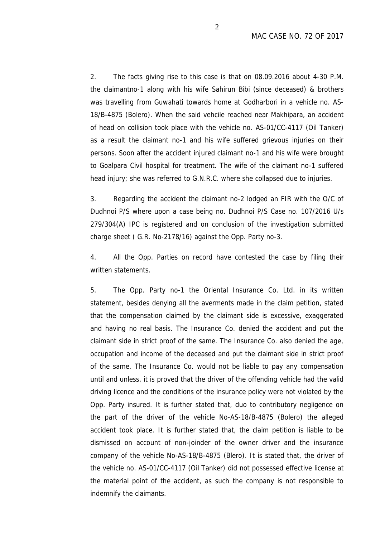2. The facts giving rise to this case is that on 08.09.2016 about 4-30 P.M. the claimantno-1 along with his wife Sahirun Bibi (since deceased) & brothers was travelling from Guwahati towards home at Godharbori in a vehicle no. AS- 18/B-4875 (Bolero). When the said vehcile reached near Makhipara, an accident of head on collision took place with the vehicle no. AS-01/CC-4117 (Oil Tanker) as a result the claimant no-1 and his wife suffered grievous injuries on their persons. Soon after the accident injured claimant no-1 and his wife were brought to Goalpara Civil hospital for treatment. The wife of the claimant no-1 suffered head injury; she was referred to G.N.R.C. where she collapsed due to injuries.

3. Regarding the accident the claimant no-2 lodged an FIR with the O/C of Dudhnoi P/S where upon a case being no. Dudhnoi P/S Case no. 107/2016 U/s 279/304(A) IPC is registered and on conclusion of the investigation submitted charge sheet ( G.R. No-2178/16) against the Opp. Party no-3.

4. All the Opp. Parties on record have contested the case by filing their written statements.

5. The Opp. Party no-1 the Oriental Insurance Co. Ltd. in its written statement, besides denying all the averments made in the claim petition, stated that the compensation claimed by the claimant side is excessive, exaggerated and having no real basis. The Insurance Co. denied the accident and put the claimant side in strict proof of the same. The Insurance Co. also denied the age, occupation and income of the deceased and put the claimant side in strict proof of the same. The Insurance Co. would not be liable to pay any compensation until and unless, it is proved that the driver of the offending vehicle had the valid driving licence and the conditions of the insurance policy were not violated by the Opp. Party insured. It is further stated that, duo to contributory negligence on the part of the driver of the vehicle No-AS-18/B-4875 (Bolero) the alleged accident took place. It is further stated that, the claim petition is liable to be dismissed on account of non-joinder of the owner driver and the insurance company of the vehicle No-AS-18/B-4875 (Blero). It is stated that, the driver of the vehicle no. AS-01/CC-4117 (Oil Tanker) did not possessed effective license at the material point of the accident, as such the company is not responsible to indemnify the claimants.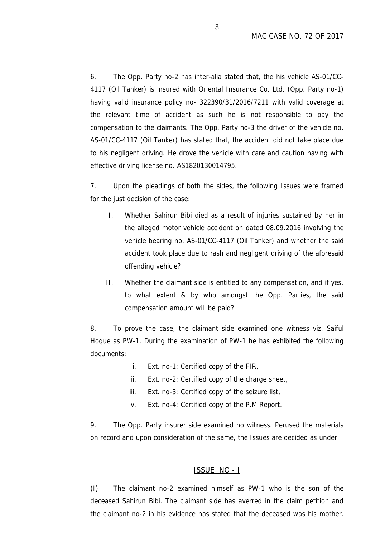6. The Opp. Party no-2 has inter-alia stated that, the his vehicle AS-01/CC- 4117 (Oil Tanker) is insured with Oriental Insurance Co. Ltd. (Opp. Party no-1) having valid insurance policy no- 322390/31/2016/7211 with valid coverage at the relevant time of accident as such he is not responsible to pay the compensation to the claimants. The Opp. Party no-3 the driver of the vehicle no. AS-01/CC-4117 (Oil Tanker) has stated that, the accident did not take place due to his negligent driving. He drove the vehicle with care and caution having with effective driving license no. AS1820130014795.

7. Upon the pleadings of both the sides, the following Issues were framed for the just decision of the case:

- I. Whether Sahirun Bibi died as a result of injuries sustained by her in the alleged motor vehicle accident on dated 08.09.2016 involving the vehicle bearing no. AS-01/CC-4117 (Oil Tanker) and whether the said accident took place due to rash and negligent driving of the aforesaid offending vehicle?
- II. Whether the claimant side is entitled to any compensation, and if yes, to what extent & by who amongst the Opp. Parties, the said compensation amount will be paid?

8. To prove the case, the claimant side examined one witness viz. Saiful Hoque as PW-1. During the examination of PW-1 he has exhibited the following documents:

- i. Ext. no-1: Certified copy of the FIR,
- ii. Ext. no-2: Certified copy of the charge sheet,
- iii. Ext. no-3: Certified copy of the seizure list,
- iv. Ext. no-4: Certified copy of the P.M Report.

9. The Opp. Party insurer side examined no witness. Perused the materials on record and upon consideration of the same, the Issues are decided as under:

#### ISSUE NO - I

(I) The claimant no-2 examined himself as PW-1 who is the son of the deceased Sahirun Bibi. The claimant side has averred in the claim petition and the claimant no-2 in his evidence has stated that the deceased was his mother.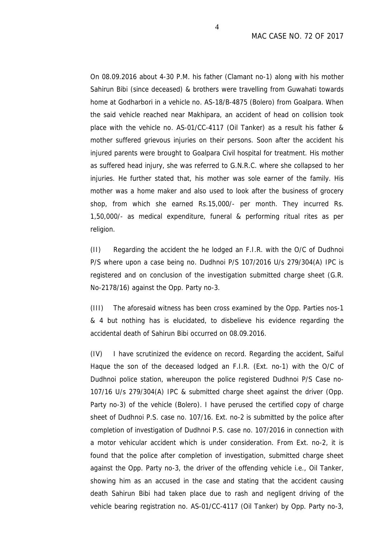On 08.09.2016 about 4-30 P.M. his father (Clamant no-1) along with his mother Sahirun Bibi (since deceased) & brothers were travelling from Guwahati towards home at Godharbori in a vehicle no. AS-18/B-4875 (Bolero) from Goalpara. When the said vehicle reached near Makhipara, an accident of head on collision took place with the vehicle no. AS-01/CC-4117 (Oil Tanker) as a result his father & mother suffered grievous injuries on their persons. Soon after the accident his injured parents were brought to Goalpara Civil hospital for treatment. His mother as suffered head injury, she was referred to G.N.R.C. where she collapsed to her injuries. He further stated that, his mother was sole earner of the family. His mother was a home maker and also used to look after the business of grocery shop, from which she earned Rs.15,000/- per month. They incurred Rs. 1,50,000/- as medical expenditure, funeral & performing ritual rites as per religion.

(II) Regarding the accident the he lodged an F.I.R. with the O/C of Dudhnoi P/S where upon a case being no. Dudhnoi P/S 107/2016 U/s 279/304(A) IPC is registered and on conclusion of the investigation submitted charge sheet (G.R. No-2178/16) against the Opp. Party no-3.

(III) The aforesaid witness has been cross examined by the Opp. Parties nos-1 & 4 but nothing has is elucidated, to disbelieve his evidence regarding the accidental death of Sahirun Bibi occurred on 08.09.2016.

(IV) I have scrutinized the evidence on record. Regarding the accident, Saiful Haque the son of the deceased lodged an F.I.R. (Ext. no-1) with the O/C of Dudhnoi police station, whereupon the police registered Dudhnoi P/S Case no- 107/16 U/s 279/304(A) IPC & submitted charge sheet against the driver (Opp. Party no-3) of the vehicle (Bolero). I have perused the certified copy of charge sheet of Dudhnoi P.S. case no. 107/16. Ext. no-2 is submitted by the police after completion of investigation of Dudhnoi P.S. case no. 107/2016 in connection with a motor vehicular accident which is under consideration. From Ext. no-2, it is found that the police after completion of investigation, submitted charge sheet against the Opp. Party no-3, the driver of the offending vehicle i.e., Oil Tanker, showing him as an accused in the case and stating that the accident causing death Sahirun Bibi had taken place due to rash and negligent driving of the vehicle bearing registration no. AS-01/CC-4117 (Oil Tanker) by Opp. Party no-3,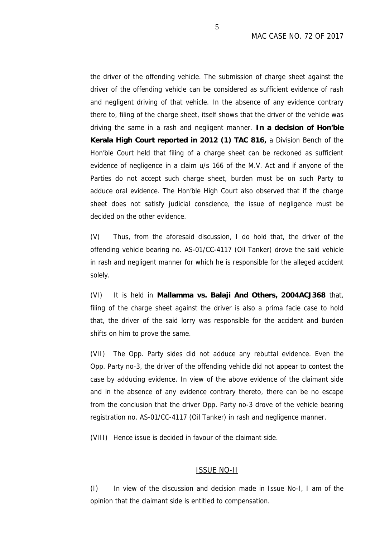the driver of the offending vehicle. The submission of charge sheet against the driver of the offending vehicle can be considered as sufficient evidence of rash and negligent driving of that vehicle. In the absence of any evidence contrary there to, filing of the charge sheet, itself shows that the driver of the vehicle was driving the same in a rash and negligent manner. **In a decision of Hon'ble Kerala High Court reported in 2012 (1) TAC 816,** a Division Bench of the Hon'ble Court held that filing of a charge sheet can be reckoned as sufficient evidence of negligence in a claim u/s 166 of the M.V. Act and if anyone of the Parties do not accept such charge sheet, burden must be on such Party to adduce oral evidence. The Hon'ble High Court also observed that if the charge sheet does not satisfy judicial conscience, the issue of negligence must be decided on the other evidence.

(V) Thus, from the aforesaid discussion, I do hold that, the driver of the offending vehicle bearing no. AS-01/CC-4117 (Oil Tanker) drove the said vehicle in rash and negligent manner for which he is responsible for the alleged accident solely.

(VI) It is held in **Mallamma vs. Balaji And Others, 2004ACJ368** that, filing of the charge sheet against the driver is also a prima facie case to hold that, the driver of the said lorry was responsible for the accident and burden shifts on him to prove the same.

(VII) The Opp. Party sides did not adduce any rebuttal evidence. Even the Opp. Party no-3, the driver of the offending vehicle did not appear to contest the case by adducing evidence. In view of the above evidence of the claimant side and in the absence of any evidence contrary thereto, there can be no escape from the conclusion that the driver Opp. Party no-3 drove of the vehicle bearing registration no. AS-01/CC-4117 (Oil Tanker) in rash and negligence manner.

(VIII) Hence issue is decided in favour of the claimant side.

#### ISSUE NO-II

(I) In view of the discussion and decision made in Issue No-I, I am of the opinion that the claimant side is entitled to compensation.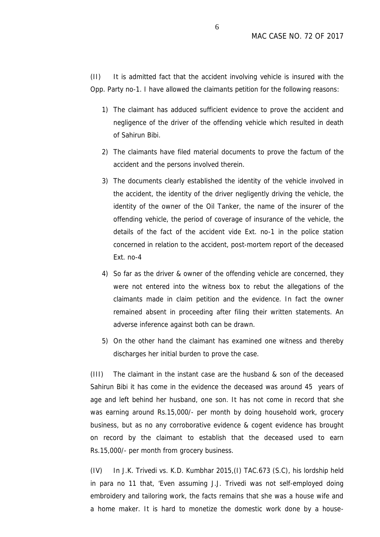(II) It is admitted fact that the accident involving vehicle is insured with the Opp. Party no-1. I have allowed the claimants petition for the following reasons:

- 1) The claimant has adduced sufficient evidence to prove the accident and negligence of the driver of the offending vehicle which resulted in death of Sahirun Bibi.
- 2) The claimants have filed material documents to prove the factum of the accident and the persons involved therein.
- 3) The documents clearly established the identity of the vehicle involved in the accident, the identity of the driver negligently driving the vehicle, the identity of the owner of the Oil Tanker, the name of the insurer of the offending vehicle, the period of coverage of insurance of the vehicle, the details of the fact of the accident vide Ext. no-1 in the police station concerned in relation to the accident, post-mortem report of the deceased Ext. no-4
- 4) So far as the driver & owner of the offending vehicle are concerned, they were not entered into the witness box to rebut the allegations of the claimants made in claim petition and the evidence. In fact the owner remained absent in proceeding after filing their written statements. An adverse inference against both can be drawn.
- 5) On the other hand the claimant has examined one witness and thereby discharges her initial burden to prove the case.

(III) The claimant in the instant case are the husband & son of the deceased Sahirun Bibi it has come in the evidence the deceased was around 45 years of age and left behind her husband, one son. It has not come in record that she was earning around Rs.15,000/- per month by doing household work, grocery business, but as no any corroborative evidence & cogent evidence has brought on record by the claimant to establish that the deceased used to earn Rs.15,000/- per month from grocery business.

(IV) In J.K. Trivedi vs. K.D. Kumbhar 2015,(I) TAC.673 (S.C), his lordship held in para no 11 that, 'Even assuming J.J. Trivedi was not self-employed doing embroidery and tailoring work, the facts remains that she was a house wife and a home maker. It is hard to monetize the domestic work done by a house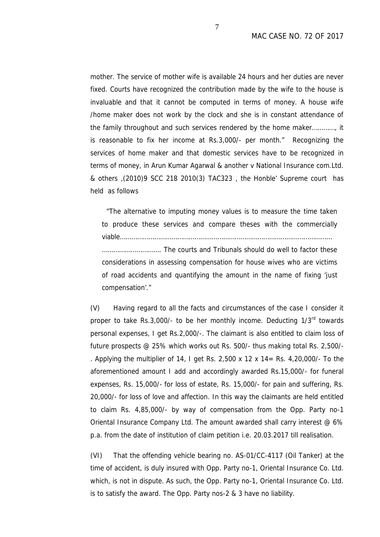mother. The service of mother wife is available 24 hours and her duties are never fixed. Courts have recognized the contribution made by the wife to the house is invaluable and that it cannot be computed in terms of money. A house wife /home maker does not work by the clock and she is in constant attendance of the family throughout and such services rendered by the home maker…………, it is reasonable to fix her income at Rs.3,000/- per month." Recognizing the services of home maker and that domestic services have to be recognized in terms of money, in Arun Kumar Agarwal & another v National Insurance com.Ltd. & others ,(2010)9 SCC 218 2010(3) TAC323 , the Honble' Supreme court has held as follows

"The alternative to imputing money values is to measure the time taken to produce these services and compare theses with the commercially viable…………………………………………………………………………………………………

…………………………. The courts and Tribunals should do well to factor these considerations in assessing compensation for house wives who are victims of road accidents and quantifying the amount in the name of fixing 'just compensation'."

(V) Having regard to all the facts and circumstances of the case I consider it proper to take Rs.3,000/- to be her monthly income. Deducting 1/3<sup>rd</sup> towards personal expenses, I get Rs.2,000/-. The claimant is also entitled to claim loss of future prospects @ 25% which works out Rs. 500/- thus making total Rs. 2,500/- . Applying the multiplier of 14, I get Rs. 2,500 x 12 x 14= Rs. 4,20,000/- To the aforementioned amount I add and accordingly awarded Rs.15,000/- for funeral expenses, Rs. 15,000/- for loss of estate, Rs. 15,000/- for pain and suffering, Rs. 20,000/- for loss of love and affection. In this way the claimants are held entitled to claim Rs. 4,85,000/- by way of compensation from the Opp. Party no-1 Oriental Insurance Company Ltd. The amount awarded shall carry interest @ 6% p.a. from the date of institution of claim petition i.e. 20.03.2017 till realisation.

(VI) That the offending vehicle bearing no. AS-01/CC-4117 (Oil Tanker) at the time of accident, is duly insured with Opp. Party no-1, Oriental Insurance Co. Ltd. which, is not in dispute. As such, the Opp. Party no-1, Oriental Insurance Co. Ltd. is to satisfy the award. The Opp. Party nos-2 & 3 have no liability.